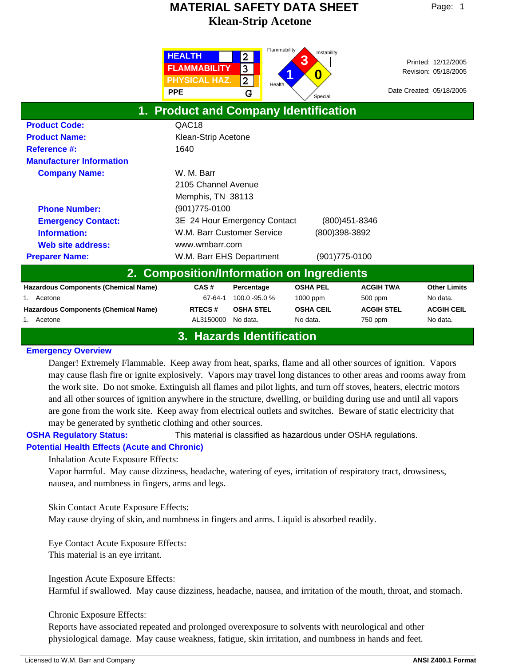|                                             | <b>HEALTH</b><br><b>FLAMMABILITY</b><br><b>PHYSICAL HAZ.</b><br><b>PPE</b> | Flammability<br>$\overline{\mathbf{2}}$<br>3<br>$\overline{\mathbf{2}}$<br>Health<br>G | Instability<br>3<br>0<br>Special |                   | Printed: 12/12/2005<br>Revision: 05/18/2005<br>Date Created: 05/18/2005 |
|---------------------------------------------|----------------------------------------------------------------------------|----------------------------------------------------------------------------------------|----------------------------------|-------------------|-------------------------------------------------------------------------|
| 1. Product and Company Identification       |                                                                            |                                                                                        |                                  |                   |                                                                         |
| <b>Product Code:</b>                        | QAC18                                                                      |                                                                                        |                                  |                   |                                                                         |
| <b>Product Name:</b>                        | Klean-Strip Acetone                                                        |                                                                                        |                                  |                   |                                                                         |
| <b>Reference #:</b>                         | 1640                                                                       |                                                                                        |                                  |                   |                                                                         |
| <b>Manufacturer Information</b>             |                                                                            |                                                                                        |                                  |                   |                                                                         |
| <b>Company Name:</b>                        | W. M. Barr                                                                 |                                                                                        |                                  |                   |                                                                         |
|                                             | 2105 Channel Avenue                                                        |                                                                                        |                                  |                   |                                                                         |
|                                             | Memphis, TN 38113                                                          |                                                                                        |                                  |                   |                                                                         |
| <b>Phone Number:</b>                        | $(901)775 - 0100$                                                          |                                                                                        |                                  |                   |                                                                         |
| <b>Emergency Contact:</b>                   | 3E 24 Hour Emergency Contact                                               |                                                                                        | (800) 451-8346                   |                   |                                                                         |
| Information:                                | W.M. Barr Customer Service                                                 |                                                                                        | (800)398-3892                    |                   |                                                                         |
| Web site address:                           | www.wmbarr.com                                                             |                                                                                        |                                  |                   |                                                                         |
| <b>Preparer Name:</b>                       | W.M. Barr EHS Department                                                   |                                                                                        | (901) 775-0100                   |                   |                                                                         |
| 2. Composition/Information on Ingredients   |                                                                            |                                                                                        |                                  |                   |                                                                         |
| <b>Hazardous Components (Chemical Name)</b> | CAS#                                                                       | Percentage                                                                             | <b>OSHA PEL</b>                  | <b>ACGIH TWA</b>  | <b>Other Limits</b>                                                     |
| Acetone                                     | 67-64-1                                                                    | 100.0 - 95.0 %                                                                         | 1000 ppm                         | 500 ppm           | No data.                                                                |
| <b>Hazardous Components (Chemical Name)</b> | <b>RTECS#</b>                                                              | <b>OSHA STEL</b>                                                                       | <b>OSHA CEIL</b>                 | <b>ACGIH STEL</b> | <b>ACGIH CEIL</b>                                                       |
| 1. Acetone                                  | AL3150000                                                                  | No data.                                                                               | No data.                         | 750 ppm           | No data.                                                                |

## **3. Hazards Identification**

## **Emergency Overview**

Danger! Extremely Flammable. Keep away from heat, sparks, flame and all other sources of ignition. Vapors may cause flash fire or ignite explosively. Vapors may travel long distances to other areas and rooms away from the work site. Do not smoke. Extinguish all flames and pilot lights, and turn off stoves, heaters, electric motors and all other sources of ignition anywhere in the structure, dwelling, or building during use and until all vapors are gone from the work site. Keep away from electrical outlets and switches. Beware of static electricity that may be generated by synthetic clothing and other sources.

**OSHA Regulatory Status:** This material is classified as hazardous under OSHA regulations.

## **Potential Health Effects (Acute and Chronic)**

Inhalation Acute Exposure Effects:

Vapor harmful. May cause dizziness, headache, watering of eyes, irritation of respiratory tract, drowsiness, nausea, and numbness in fingers, arms and legs.

Skin Contact Acute Exposure Effects: May cause drying of skin, and numbness in fingers and arms. Liquid is absorbed readily.

Eye Contact Acute Exposure Effects: This material is an eye irritant.

Ingestion Acute Exposure Effects: Harmful if swallowed. May cause dizziness, headache, nausea, and irritation of the mouth, throat, and stomach.

## Chronic Exposure Effects:

Reports have associated repeated and prolonged overexposure to solvents with neurological and other physiological damage. May cause weakness, fatigue, skin irritation, and numbness in hands and feet.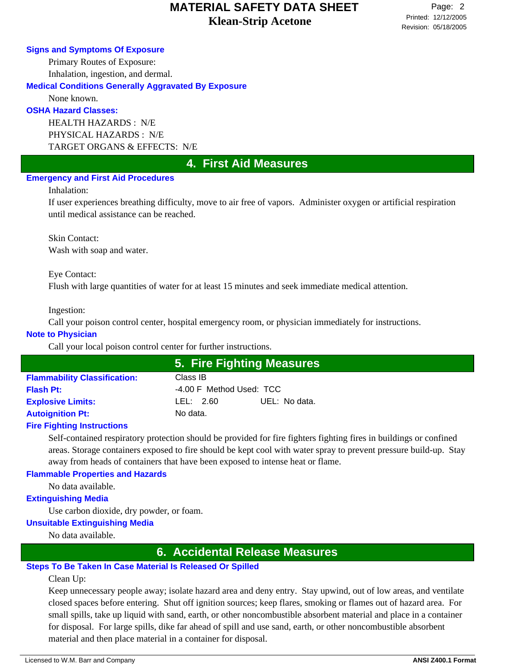#### **Signs and Symptoms Of Exposure**

Primary Routes of Exposure: Inhalation, ingestion, and dermal.

**Medical Conditions Generally Aggravated By Exposure**

None known.

## **OSHA Hazard Classes:**

HEALTH HAZARDS : N/E PHYSICAL HAZARDS : N/E TARGET ORGANS & EFFECTS: N/E

## **4. First Aid Measures**

## **Emergency and First Aid Procedures**

#### Inhalation:

If user experiences breathing difficulty, move to air free of vapors. Administer oxygen or artificial respiration until medical assistance can be reached.

Skin Contact: Wash with soap and water.

Eye Contact:

Flush with large quantities of water for at least 15 minutes and seek immediate medical attention.

Ingestion:

Call your poison control center, hospital emergency room, or physician immediately for instructions.

### **Note to Physician**

Call your local poison control center for further instructions.

|                                     |                          | 5. Fire Fighting Measures |  |
|-------------------------------------|--------------------------|---------------------------|--|
| <b>Flammability Classification:</b> | Class IB                 |                           |  |
| <b>Flash Pt:</b>                    | -4.00 F Method Used: TCC |                           |  |
| <b>Explosive Limits:</b>            | LEL: 2.60                | UEL: No data.             |  |
| <b>Autoignition Pt:</b>             | No data.                 |                           |  |
|                                     |                          |                           |  |

## **Fire Fighting Instructions**

Self-contained respiratory protection should be provided for fire fighters fighting fires in buildings or confined areas. Storage containers exposed to fire should be kept cool with water spray to prevent pressure build-up. Stay away from heads of containers that have been exposed to intense heat or flame.

## **Flammable Properties and Hazards**

No data available.

## **Extinguishing Media**

Use carbon dioxide, dry powder, or foam.

## **Unsuitable Extinguishing Media**

No data available.

## **6. Accidental Release Measures**

## **Steps To Be Taken In Case Material Is Released Or Spilled**

Clean Up:

Keep unnecessary people away; isolate hazard area and deny entry. Stay upwind, out of low areas, and ventilate closed spaces before entering. Shut off ignition sources; keep flares, smoking or flames out of hazard area. For small spills, take up liquid with sand, earth, or other noncombustible absorbent material and place in a container for disposal. For large spills, dike far ahead of spill and use sand, earth, or other noncombustible absorbent material and then place material in a container for disposal.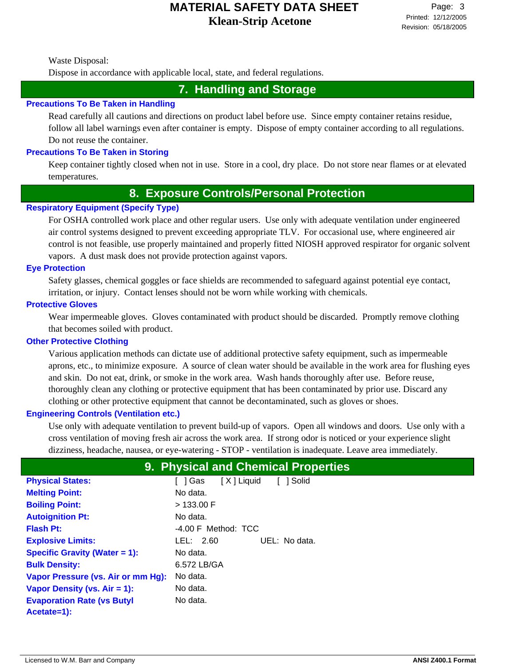Waste Disposal:

Dispose in accordance with applicable local, state, and federal regulations.

# **7. Handling and Storage**

### **Precautions To Be Taken in Handling**

Read carefully all cautions and directions on product label before use. Since empty container retains residue, follow all label warnings even after container is empty. Dispose of empty container according to all regulations. Do not reuse the container.

## **Precautions To Be Taken in Storing**

Keep container tightly closed when not in use. Store in a cool, dry place. Do not store near flames or at elevated temperatures.

## **8. Exposure Controls/Personal Protection**

## **Respiratory Equipment (Specify Type)**

For OSHA controlled work place and other regular users. Use only with adequate ventilation under engineered air control systems designed to prevent exceeding appropriate TLV. For occasional use, where engineered air control is not feasible, use properly maintained and properly fitted NIOSH approved respirator for organic solvent vapors. A dust mask does not provide protection against vapors.

#### **Eye Protection**

Safety glasses, chemical goggles or face shields are recommended to safeguard against potential eye contact, irritation, or injury. Contact lenses should not be worn while working with chemicals.

## **Protective Gloves**

Wear impermeable gloves. Gloves contaminated with product should be discarded. Promptly remove clothing that becomes soiled with product.

#### **Other Protective Clothing**

Various application methods can dictate use of additional protective safety equipment, such as impermeable aprons, etc., to minimize exposure. A source of clean water should be available in the work area for flushing eyes and skin. Do not eat, drink, or smoke in the work area. Wash hands thoroughly after use. Before reuse, thoroughly clean any clothing or protective equipment that has been contaminated by prior use. Discard any clothing or other protective equipment that cannot be decontaminated, such as gloves or shoes.

## **Engineering Controls (Ventilation etc.)**

Use only with adequate ventilation to prevent build-up of vapors. Open all windows and doors. Use only with a cross ventilation of moving fresh air across the work area. If strong odor is noticed or your experience slight dizziness, headache, nausea, or eye-watering - STOP - ventilation is inadequate. Leave area immediately.

|                                      | 9. Physical and Chemical Properties |
|--------------------------------------|-------------------------------------|
| <b>Physical States:</b>              | [X] Liquid<br>1 Solid<br>[ ] Gas    |
| <b>Melting Point:</b>                | No data.                            |
| <b>Boiling Point:</b>                | > 133.00 F                          |
| <b>Autoignition Pt:</b>              | No data.                            |
| <b>Flash Pt:</b>                     | $-4.00$ F Method: TCC               |
| <b>Explosive Limits:</b>             | LEL: $2.60$<br>UEL: No data.        |
| <b>Specific Gravity (Water = 1):</b> | No data.                            |
| <b>Bulk Density:</b>                 | 6.572 LB/GA                         |
| Vapor Pressure (vs. Air or mm Hg):   | No data.                            |
| Vapor Density (vs. Air = 1):         | No data.                            |
| <b>Evaporation Rate (vs Butyl</b>    | No data.                            |
| Acetate=1):                          |                                     |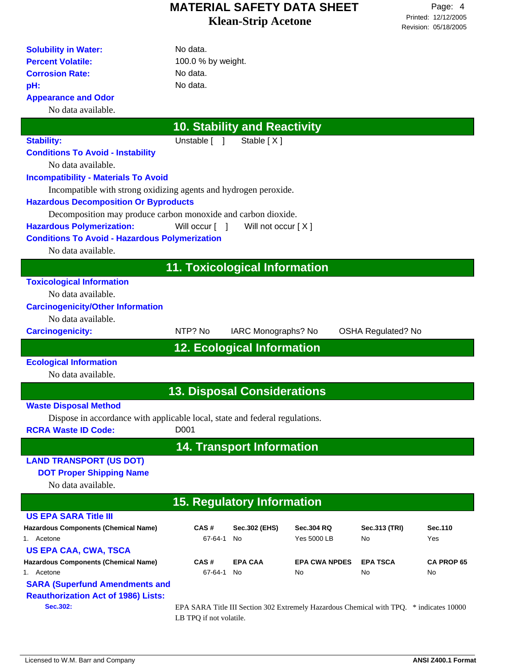| <b>Solubility in Water:</b><br><b>Percent Volatile:</b>                     | No data.                             |                                     |                                                                                         |                           |                   |
|-----------------------------------------------------------------------------|--------------------------------------|-------------------------------------|-----------------------------------------------------------------------------------------|---------------------------|-------------------|
| <b>Corrosion Rate:</b>                                                      | 100.0 % by weight.<br>No data.       |                                     |                                                                                         |                           |                   |
|                                                                             |                                      |                                     |                                                                                         |                           |                   |
| pH:                                                                         | No data.                             |                                     |                                                                                         |                           |                   |
| <b>Appearance and Odor</b>                                                  |                                      |                                     |                                                                                         |                           |                   |
| No data available.                                                          |                                      |                                     |                                                                                         |                           |                   |
|                                                                             |                                      | <b>10. Stability and Reactivity</b> |                                                                                         |                           |                   |
| <b>Stability:</b>                                                           | Unstable [ ]                         | Stable [X]                          |                                                                                         |                           |                   |
| <b>Conditions To Avoid - Instability</b>                                    |                                      |                                     |                                                                                         |                           |                   |
| No data available.                                                          |                                      |                                     |                                                                                         |                           |                   |
| <b>Incompatibility - Materials To Avoid</b>                                 |                                      |                                     |                                                                                         |                           |                   |
| Incompatible with strong oxidizing agents and hydrogen peroxide.            |                                      |                                     |                                                                                         |                           |                   |
| <b>Hazardous Decomposition Or Byproducts</b>                                |                                      |                                     |                                                                                         |                           |                   |
| Decomposition may produce carbon monoxide and carbon dioxide.               |                                      |                                     |                                                                                         |                           |                   |
| <b>Hazardous Polymerization:</b>                                            | Will occur $\lceil \quad \rceil$     | Will not occur $[X]$                |                                                                                         |                           |                   |
| <b>Conditions To Avoid - Hazardous Polymerization</b>                       |                                      |                                     |                                                                                         |                           |                   |
| No data available.                                                          |                                      |                                     |                                                                                         |                           |                   |
|                                                                             | <b>11. Toxicological Information</b> |                                     |                                                                                         |                           |                   |
| <b>Toxicological Information</b>                                            |                                      |                                     |                                                                                         |                           |                   |
| No data available.                                                          |                                      |                                     |                                                                                         |                           |                   |
| <b>Carcinogenicity/Other Information</b>                                    |                                      |                                     |                                                                                         |                           |                   |
| No data available.                                                          |                                      |                                     |                                                                                         |                           |                   |
| <b>Carcinogenicity:</b>                                                     | NTP? No                              | IARC Monographs? No                 |                                                                                         | <b>OSHA Regulated? No</b> |                   |
|                                                                             |                                      |                                     |                                                                                         |                           |                   |
|                                                                             |                                      | <b>12. Ecological Information</b>   |                                                                                         |                           |                   |
| <b>Ecological Information</b>                                               |                                      |                                     |                                                                                         |                           |                   |
| No data available.                                                          |                                      |                                     |                                                                                         |                           |                   |
|                                                                             | <b>13. Disposal Considerations</b>   |                                     |                                                                                         |                           |                   |
| <b>Waste Disposal Method</b>                                                |                                      |                                     |                                                                                         |                           |                   |
| Dispose in accordance with applicable local, state and federal regulations. |                                      |                                     |                                                                                         |                           |                   |
| <b>RCRA Waste ID Code:</b>                                                  | D <sub>001</sub>                     |                                     |                                                                                         |                           |                   |
|                                                                             |                                      | <b>14. Transport Information</b>    |                                                                                         |                           |                   |
| <b>LAND TRANSPORT (US DOT)</b>                                              |                                      |                                     |                                                                                         |                           |                   |
| <b>DOT Proper Shipping Name</b>                                             |                                      |                                     |                                                                                         |                           |                   |
| No data available.                                                          |                                      |                                     |                                                                                         |                           |                   |
|                                                                             | <b>15. Regulatory Information</b>    |                                     |                                                                                         |                           |                   |
| <b>US EPA SARA Title III</b>                                                |                                      |                                     |                                                                                         |                           |                   |
|                                                                             |                                      |                                     |                                                                                         |                           |                   |
| <b>Hazardous Components (Chemical Name)</b><br>1. Acetone                   | CAS#<br>67-64-1                      | Sec.302 (EHS)<br>No                 | <b>Sec.304 RQ</b><br><b>Yes 5000 LB</b>                                                 | Sec.313 (TRI)<br>No       | Sec.110<br>Yes    |
| <b>US EPA CAA, CWA, TSCA</b>                                                |                                      |                                     |                                                                                         |                           |                   |
| <b>Hazardous Components (Chemical Name)</b>                                 | CAS#                                 | <b>EPA CAA</b>                      | <b>EPA CWA NPDES</b>                                                                    | <b>EPA TSCA</b>           | <b>CA PROP 65</b> |
| 1. Acetone                                                                  | 67-64-1                              | No                                  | No                                                                                      | No                        | No                |
| <b>SARA (Superfund Amendments and</b>                                       |                                      |                                     |                                                                                         |                           |                   |
| <b>Reauthorization Act of 1986) Lists:</b>                                  |                                      |                                     |                                                                                         |                           |                   |
| Sec.302:                                                                    |                                      |                                     | EPA SARA Title III Section 302 Extremely Hazardous Chemical with TPQ. * indicates 10000 |                           |                   |
|                                                                             | LB TPQ if not volatile.              |                                     |                                                                                         |                           |                   |